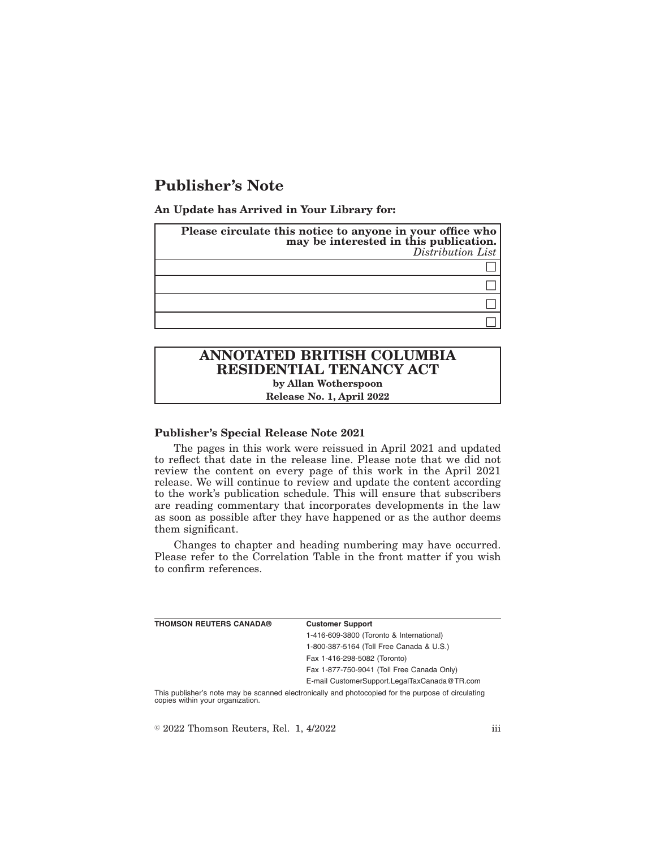## **Publisher's Note**

**An Update has Arrived in Your Library for:**

| Please circulate this notice to anyone in your office who<br>may be interested in this publication.<br>Distribution List |
|--------------------------------------------------------------------------------------------------------------------------|
|                                                                                                                          |
|                                                                                                                          |
|                                                                                                                          |
|                                                                                                                          |

## **ANNOTATED BRITISH COLUMBIA RESIDENTIAL TENANCY ACT by Allan Wotherspoon Release No. 1, April 2022**

**Publisher's Special Release Note 2021**

The pages in this work were reissued in April 2021 and updated to reflect that date in the release line. Please note that we did not review the content on every page of this work in the April 2021 release. We will continue to review and update the content according to the work's publication schedule. This will ensure that subscribers are reading commentary that incorporates developments in the law as soon as possible after they have happened or as the author deems them significant.

Changes to chapter and heading numbering may have occurred. Please refer to the Correlation Table in the front matter if you wish to confirm references.

| THOMSON REUTERS CANADA® | <b>Customer Support</b>                                                                         |
|-------------------------|-------------------------------------------------------------------------------------------------|
|                         | 1-416-609-3800 (Toronto & International)                                                        |
|                         | 1-800-387-5164 (Toll Free Canada & U.S.)                                                        |
|                         | Fax 1-416-298-5082 (Toronto)                                                                    |
|                         | Fax 1-877-750-9041 (Toll Free Canada Only)                                                      |
|                         | E-mail CustomerSupport.LegalTaxCanada@TR.com                                                    |
|                         | This mubliched pata mou ha connead alestronically and photosopiad for the museum of circulation |

This publisher's note may be scanned electronically and photocopied for the purpose of circulating copies within your organization.

 $\textdegree$  2022 Thomson Reuters, Rel. 1, 4/2022 iii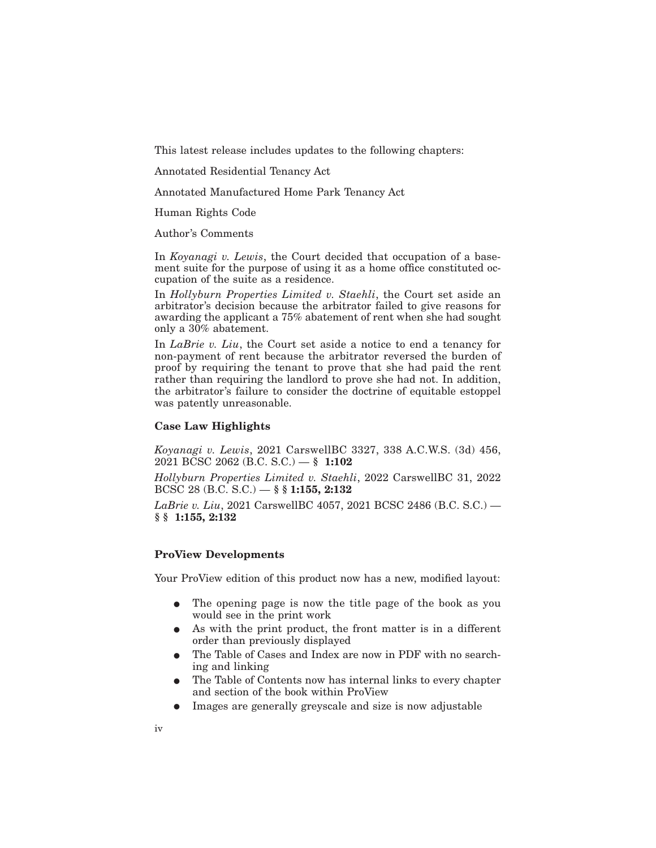This latest release includes updates to the following chapters:

Annotated Residential Tenancy Act

Annotated Manufactured Home Park Tenancy Act

Human Rights Code

Author's Comments

In *Koyanagi v. Lewis*, the Court decided that occupation of a basement suite for the purpose of using it as a home office constituted occupation of the suite as a residence.

In *Hollyburn Properties Limited v. Staehli*, the Court set aside an arbitrator's decision because the arbitrator failed to give reasons for awarding the applicant a 75% abatement of rent when she had sought only a 30% abatement.

In *LaBrie v. Liu*, the Court set aside a notice to end a tenancy for non-payment of rent because the arbitrator reversed the burden of proof by requiring the tenant to prove that she had paid the rent rather than requiring the landlord to prove she had not. In addition, the arbitrator's failure to consider the doctrine of equitable estoppel was patently unreasonable.

## **Case Law Highlights**

*Koyanagi v. Lewis*, 2021 CarswellBC 3327, 338 A.C.W.S. (3d) 456, 2021 BCSC 2062 (B.C. S.C.) — **§ 1:102**

*Hollyburn Properties Limited v. Staehli*, 2022 CarswellBC 31, 2022 BCSC 28 (B.C. S.C.) — **§ § 1:155, 2:132**

*LaBrie v. Liu*, 2021 CarswellBC 4057, 2021 BCSC 2486 (B.C. S.C.) — **§ § 1:155, 2:132**

## **ProView Developments**

Your ProView edition of this product now has a new, modified layout:

- The opening page is now the title page of the book as you would see in the print work
- As with the print product, the front matter is in a different order than previously displayed
- The Table of Cases and Index are now in PDF with no searching and linking
- The Table of Contents now has internal links to every chapter and section of the book within ProView
- E Images are generally greyscale and size is now adjustable